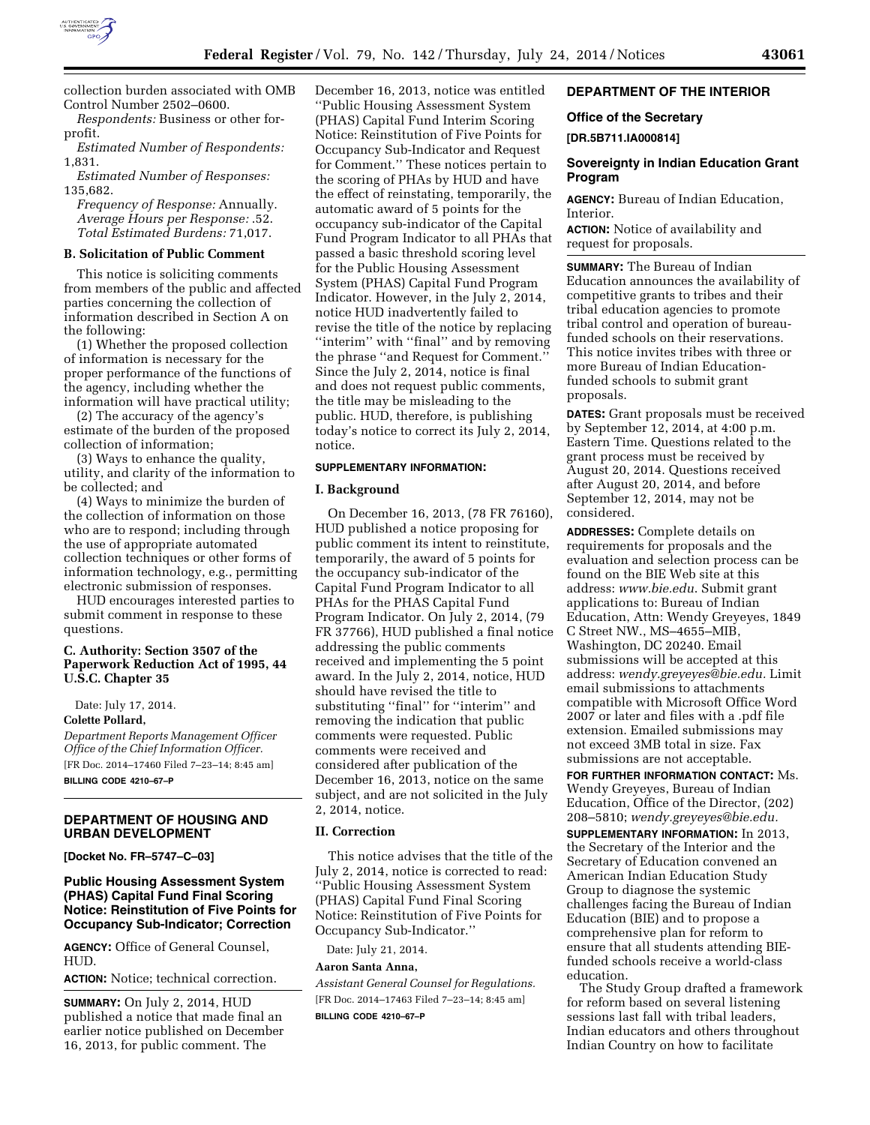

collection burden associated with OMB Control Number 2502–0600. *Respondents:* Business or other for-

profit.

*Estimated Number of Respondents:*  1,831.

*Estimated Number of Responses:*  135,682.

*Frequency of Response:* Annually. *Average Hours per Response:* .52. *Total Estimated Burdens:* 71,017.

#### **B. Solicitation of Public Comment**

This notice is soliciting comments from members of the public and affected parties concerning the collection of information described in Section A on the following:

(1) Whether the proposed collection of information is necessary for the proper performance of the functions of the agency, including whether the information will have practical utility;

(2) The accuracy of the agency's estimate of the burden of the proposed collection of information;

(3) Ways to enhance the quality, utility, and clarity of the information to be collected; and

(4) Ways to minimize the burden of the collection of information on those who are to respond; including through the use of appropriate automated collection techniques or other forms of information technology, e.g., permitting electronic submission of responses.

HUD encourages interested parties to submit comment in response to these questions.

### **C. Authority: Section 3507 of the Paperwork Reduction Act of 1995, 44 U.S.C. Chapter 35**

Date: July 17, 2014.

### **Colette Pollard,**

*Department Reports Management Officer Office of the Chief Information Officer.*  [FR Doc. 2014–17460 Filed 7–23–14; 8:45 am] **BILLING CODE 4210–67–P** 

### **DEPARTMENT OF HOUSING AND URBAN DEVELOPMENT**

**[Docket No. FR–5747–C–03]** 

# **Public Housing Assessment System (PHAS) Capital Fund Final Scoring Notice: Reinstitution of Five Points for Occupancy Sub-Indicator; Correction**

**AGENCY:** Office of General Counsel, HUD.

**ACTION:** Notice; technical correction.

**SUMMARY:** On July 2, 2014, HUD published a notice that made final an earlier notice published on December 16, 2013, for public comment. The

December 16, 2013, notice was entitled ''Public Housing Assessment System (PHAS) Capital Fund Interim Scoring Notice: Reinstitution of Five Points for Occupancy Sub-Indicator and Request for Comment.'' These notices pertain to the scoring of PHAs by HUD and have the effect of reinstating, temporarily, the automatic award of 5 points for the occupancy sub-indicator of the Capital Fund Program Indicator to all PHAs that passed a basic threshold scoring level for the Public Housing Assessment System (PHAS) Capital Fund Program Indicator. However, in the July 2, 2014, notice HUD inadvertently failed to revise the title of the notice by replacing "interim" with "final" and by removing the phrase ''and Request for Comment.'' Since the July 2, 2014, notice is final and does not request public comments, the title may be misleading to the public. HUD, therefore, is publishing today's notice to correct its July 2, 2014, notice.

#### **SUPPLEMENTARY INFORMATION:**

#### **I. Background**

On December 16, 2013, (78 FR 76160), HUD published a notice proposing for public comment its intent to reinstitute, temporarily, the award of 5 points for the occupancy sub-indicator of the Capital Fund Program Indicator to all PHAs for the PHAS Capital Fund Program Indicator. On July 2, 2014, (79 FR 37766), HUD published a final notice addressing the public comments received and implementing the 5 point award. In the July 2, 2014, notice, HUD should have revised the title to substituting "final" for "interim" and removing the indication that public comments were requested. Public comments were received and considered after publication of the December 16, 2013, notice on the same subject, and are not solicited in the July 2, 2014, notice.

#### **II. Correction**

This notice advises that the title of the July 2, 2014, notice is corrected to read: ''Public Housing Assessment System (PHAS) Capital Fund Final Scoring Notice: Reinstitution of Five Points for Occupancy Sub-Indicator.''

Date: July 21, 2014.

### **Aaron Santa Anna,**

*Assistant General Counsel for Regulations.*  [FR Doc. 2014–17463 Filed 7–23–14; 8:45 am] **BILLING CODE 4210–67–P** 

# **DEPARTMENT OF THE INTERIOR**

#### **Office of the Secretary**

# **[DR.5B711.IA000814]**

### **Sovereignty in Indian Education Grant Program**

**AGENCY:** Bureau of Indian Education, Interior.

**ACTION:** Notice of availability and request for proposals.

**SUMMARY:** The Bureau of Indian Education announces the availability of competitive grants to tribes and their tribal education agencies to promote tribal control and operation of bureaufunded schools on their reservations. This notice invites tribes with three or more Bureau of Indian Educationfunded schools to submit grant proposals.

**DATES:** Grant proposals must be received by September 12, 2014, at 4:00 p.m. Eastern Time. Questions related to the grant process must be received by August 20, 2014. Questions received after August 20, 2014, and before September 12, 2014, may not be considered.

**ADDRESSES:** Complete details on requirements for proposals and the evaluation and selection process can be found on the BIE Web site at this address: *[www.bie.edu](http://www.bie.edu)*. Submit grant applications to: Bureau of Indian Education, Attn: Wendy Greyeyes, 1849 C Street NW., MS–4655–MIB, Washington, DC 20240. Email submissions will be accepted at this address: *[wendy.greyeyes@bie.edu.](mailto:wendy.greyeyes@bie.edu)* Limit email submissions to attachments compatible with Microsoft Office Word 2007 or later and files with a .pdf file extension. Emailed submissions may not exceed 3MB total in size. Fax submissions are not acceptable. **FOR FURTHER INFORMATION CONTACT:** Ms. Wendy Greyeyes, Bureau of Indian Education, Office of the Director, (202)

208–5810; *[wendy.greyeyes@bie.edu.](mailto:wendy.greyeyes@bie.edu)*  **SUPPLEMENTARY INFORMATION:** In 2013,

the Secretary of the Interior and the Secretary of Education convened an American Indian Education Study Group to diagnose the systemic challenges facing the Bureau of Indian Education (BIE) and to propose a comprehensive plan for reform to ensure that all students attending BIEfunded schools receive a world-class education.

The Study Group drafted a framework for reform based on several listening sessions last fall with tribal leaders, Indian educators and others throughout Indian Country on how to facilitate